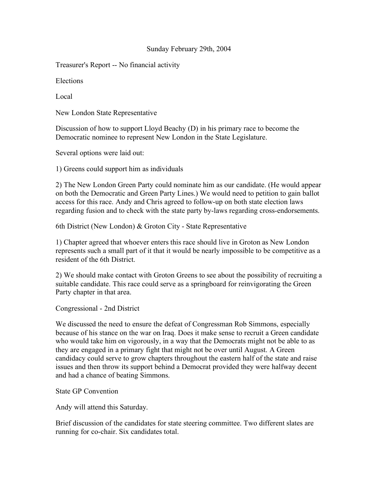## Sunday February 29th, 2004

Treasurer's Report -- No financial activity

Elections

Local

New London State Representative

Discussion of how to support Lloyd Beachy (D) in his primary race to become the Democratic nominee to represent New London in the State Legislature.

Several options were laid out:

1) Greens could support him as individuals

2) The New London Green Party could nominate him as our candidate. (He would appear on both the Democratic and Green Party Lines.) We would need to petition to gain ballot access for this race. Andy and Chris agreed to follow-up on both state election laws regarding fusion and to check with the state party by-laws regarding cross-endorsements.

6th District (New London) & Groton City - State Representative

1) Chapter agreed that whoever enters this race should live in Groton as New London represents such a small part of it that it would be nearly impossible to be competitive as a resident of the 6th District.

2) We should make contact with Groton Greens to see about the possibility of recruiting a suitable candidate. This race could serve as a springboard for reinvigorating the Green Party chapter in that area.

Congressional - 2nd District

We discussed the need to ensure the defeat of Congressman Rob Simmons, especially because of his stance on the war on Iraq. Does it make sense to recruit a Green candidate who would take him on vigorously, in a way that the Democrats might not be able to as they are engaged in a primary fight that might not be over until August. A Green candidacy could serve to grow chapters throughout the eastern half of the state and raise issues and then throw its support behind a Democrat provided they were halfway decent and had a chance of beating Simmons.

State GP Convention

Andy will attend this Saturday.

Brief discussion of the candidates for state steering committee. Two different slates are running for co-chair. Six candidates total.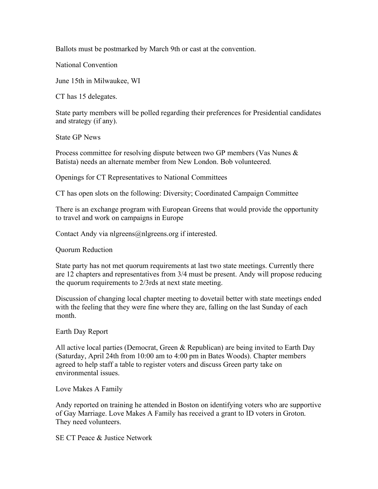Ballots must be postmarked by March 9th or cast at the convention.

National Convention

June 15th in Milwaukee, WI

CT has 15 delegates.

State party members will be polled regarding their preferences for Presidential candidates and strategy (if any).

State GP News

Process committee for resolving dispute between two GP members (Vas Nunes & Batista) needs an alternate member from New London. Bob volunteered.

Openings for CT Representatives to National Committees

CT has open slots on the following: Diversity; Coordinated Campaign Committee

There is an exchange program with European Greens that would provide the opportunity to travel and work on campaigns in Europe

Contact Andy via nlgreens@nlgreens.org if interested.

Quorum Reduction

State party has not met quorum requirements at last two state meetings. Currently there are 12 chapters and representatives from 3/4 must be present. Andy will propose reducing the quorum requirements to 2/3rds at next state meeting.

Discussion of changing local chapter meeting to dovetail better with state meetings ended with the feeling that they were fine where they are, falling on the last Sunday of each month.

Earth Day Report

All active local parties (Democrat, Green & Republican) are being invited to Earth Day (Saturday, April 24th from 10:00 am to 4:00 pm in Bates Woods). Chapter members agreed to help staff a table to register voters and discuss Green party take on environmental issues.

Love Makes A Family

Andy reported on training he attended in Boston on identifying voters who are supportive of Gay Marriage. Love Makes A Family has received a grant to ID voters in Groton. They need volunteers.

SE CT Peace & Justice Network